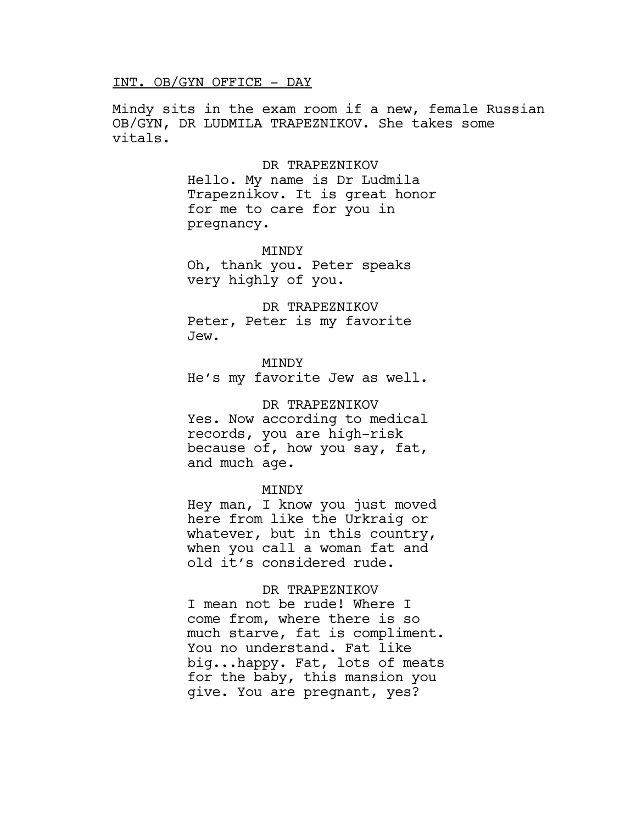## INT. OB/GYN OFFICE - DAY

Mindy sits in the exam room if a new, female Russian OB/GYN, DR LUDMILA TRAPEZNIKOV. She takes some vitals.

#### DR TRAPEZNIKOV

Hello. My name is Dr Ludmila Trapeznikov. It is great honor for me to care for you in pregnancy.

MINDY

Oh, thank you. Peter speaks very highly of you.

DR TRAPEZNIKOV Peter, Peter is my favorite Jew.

MINDY He's my favorite Jew as well.

DR TRAPEZNIKOV Yes. Now according to medical records, you are high-risk because of, how you say, fat, and much age.

#### **MTNDY**

Hey man, I know you just moved here from like the Urkraig or whatever, but in this country, when you call a woman fat and old it's considered rude.

## DR TRAPEZNIKOV

I mean not be rude! Where I come from, where there is so much starve, fat is compliment. You no understand. Fat like big...happy. Fat, lots of meats for the baby, this mansion you give. You are pregnant, yes?